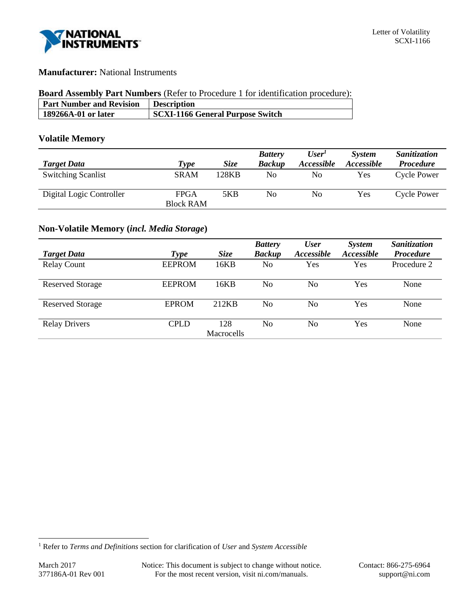

# **Manufacturer:** National Instruments

# **Board Assembly Part Numbers** (Refer to Procedure 1 for identification procedure):

| <b>Part Number and Revision</b> | <b>Description</b>               |
|---------------------------------|----------------------------------|
| 189266A-01 or later             | SCXI-1166 General Purpose Switch |

# **Volatile Memory**

|                           |                  |             | <b>Battery</b> | User'             | <b>System</b>     | Sanitization       |
|---------------------------|------------------|-------------|----------------|-------------------|-------------------|--------------------|
| <b>Target Data</b>        | Type             | <b>Size</b> | <b>Backup</b>  | <i>Accessible</i> | <i>Accessible</i> | <b>Procedure</b>   |
| <b>Switching Scanlist</b> | <b>SRAM</b>      | 128KB       | No             | No                | Yes               | <b>Cycle Power</b> |
| Digital Logic Controller  | FPGA             | 5KB         | No             | No                | Yes               | Cycle Power        |
|                           | <b>Block RAM</b> |             |                |                   |                   |                    |

# **Non-Volatile Memory (***incl. Media Storage***)**

|                         |               |             | <b>Battery</b> | <b>User</b> | <b>System</b>     | Sanitization     |
|-------------------------|---------------|-------------|----------------|-------------|-------------------|------------------|
| <b>Target Data</b>      | Type          | <b>Size</b> | <b>Backup</b>  | Accessible  | <i>Accessible</i> | <b>Procedure</b> |
| <b>Relay Count</b>      | <b>EEPROM</b> | 16KB        | No             | <b>Yes</b>  | Yes               | Procedure 2      |
| <b>Reserved Storage</b> | <b>EEPROM</b> | 16KB        | No             | No          | Yes               | None             |
| <b>Reserved Storage</b> | <b>EPROM</b>  | 212KB       | No             | No          | Yes               | None             |
| <b>Relay Drivers</b>    | <b>CPLD</b>   | 128         | No             | No          | Yes               | None             |
|                         |               | Macrocells  |                |             |                   |                  |

l

<sup>1</sup> Refer to *Terms and Definitions* section for clarification of *User* and *System Accessible*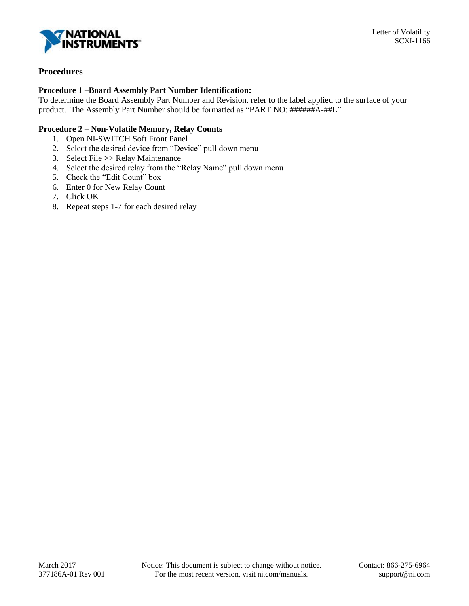

# **Procedures**

# **Procedure 1 –Board Assembly Part Number Identification:**

To determine the Board Assembly Part Number and Revision, refer to the label applied to the surface of your product. The Assembly Part Number should be formatted as "PART NO: ######A-##L".

# **Procedure 2 – Non-Volatile Memory, Relay Counts**

- 1. Open NI-SWITCH Soft Front Panel
- 2. Select the desired device from "Device" pull down menu
- 3. Select File >> Relay Maintenance
- 4. Select the desired relay from the "Relay Name" pull down menu
- 5. Check the "Edit Count" box
- 6. Enter 0 for New Relay Count
- 7. Click OK
- 8. Repeat steps 1-7 for each desired relay